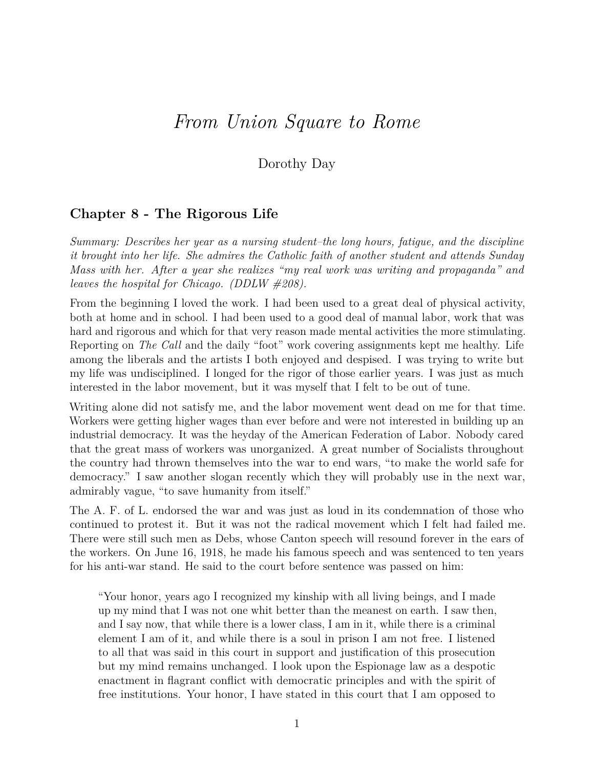## *From Union Square to Rome*

## Dorothy Day

## **Chapter 8 - The Rigorous Life**

*Summary: Describes her year as a nursing student–the long hours, fatigue, and the discipline it brought into her life. She admires the Catholic faith of another student and attends Sunday Mass with her. After a year she realizes "my real work was writing and propaganda" and leaves the hospital for Chicago. (DDLW #208).*

From the beginning I loved the work. I had been used to a great deal of physical activity, both at home and in school. I had been used to a good deal of manual labor, work that was hard and rigorous and which for that very reason made mental activities the more stimulating. Reporting on *The Call* and the daily "foot" work covering assignments kept me healthy. Life among the liberals and the artists I both enjoyed and despised. I was trying to write but my life was undisciplined. I longed for the rigor of those earlier years. I was just as much interested in the labor movement, but it was myself that I felt to be out of tune.

Writing alone did not satisfy me, and the labor movement went dead on me for that time. Workers were getting higher wages than ever before and were not interested in building up an industrial democracy. It was the heyday of the American Federation of Labor. Nobody cared that the great mass of workers was unorganized. A great number of Socialists throughout the country had thrown themselves into the war to end wars, "to make the world safe for democracy." I saw another slogan recently which they will probably use in the next war, admirably vague, "to save humanity from itself."

The A. F. of L. endorsed the war and was just as loud in its condemnation of those who continued to protest it. But it was not the radical movement which I felt had failed me. There were still such men as Debs, whose Canton speech will resound forever in the ears of the workers. On June 16, 1918, he made his famous speech and was sentenced to ten years for his anti-war stand. He said to the court before sentence was passed on him:

"Your honor, years ago I recognized my kinship with all living beings, and I made up my mind that I was not one whit better than the meanest on earth. I saw then, and I say now, that while there is a lower class, I am in it, while there is a criminal element I am of it, and while there is a soul in prison I am not free. I listened to all that was said in this court in support and justification of this prosecution but my mind remains unchanged. I look upon the Espionage law as a despotic enactment in flagrant conflict with democratic principles and with the spirit of free institutions. Your honor, I have stated in this court that I am opposed to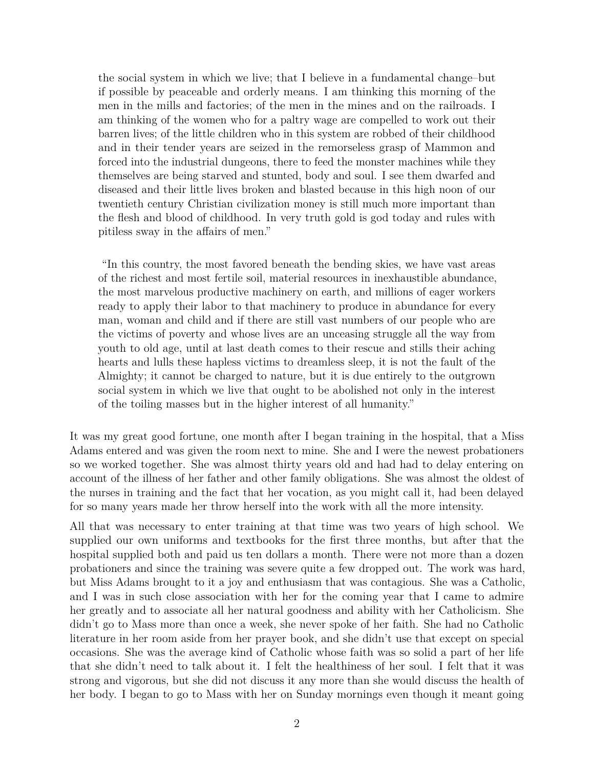the social system in which we live; that I believe in a fundamental change–but if possible by peaceable and orderly means. I am thinking this morning of the men in the mills and factories; of the men in the mines and on the railroads. I am thinking of the women who for a paltry wage are compelled to work out their barren lives; of the little children who in this system are robbed of their childhood and in their tender years are seized in the remorseless grasp of Mammon and forced into the industrial dungeons, there to feed the monster machines while they themselves are being starved and stunted, body and soul. I see them dwarfed and diseased and their little lives broken and blasted because in this high noon of our twentieth century Christian civilization money is still much more important than the flesh and blood of childhood. In very truth gold is god today and rules with pitiless sway in the affairs of men."

"In this country, the most favored beneath the bending skies, we have vast areas of the richest and most fertile soil, material resources in inexhaustible abundance, the most marvelous productive machinery on earth, and millions of eager workers ready to apply their labor to that machinery to produce in abundance for every man, woman and child and if there are still vast numbers of our people who are the victims of poverty and whose lives are an unceasing struggle all the way from youth to old age, until at last death comes to their rescue and stills their aching hearts and lulls these hapless victims to dreamless sleep, it is not the fault of the Almighty; it cannot be charged to nature, but it is due entirely to the outgrown social system in which we live that ought to be abolished not only in the interest of the toiling masses but in the higher interest of all humanity."

It was my great good fortune, one month after I began training in the hospital, that a Miss Adams entered and was given the room next to mine. She and I were the newest probationers so we worked together. She was almost thirty years old and had had to delay entering on account of the illness of her father and other family obligations. She was almost the oldest of the nurses in training and the fact that her vocation, as you might call it, had been delayed for so many years made her throw herself into the work with all the more intensity.

All that was necessary to enter training at that time was two years of high school. We supplied our own uniforms and textbooks for the first three months, but after that the hospital supplied both and paid us ten dollars a month. There were not more than a dozen probationers and since the training was severe quite a few dropped out. The work was hard, but Miss Adams brought to it a joy and enthusiasm that was contagious. She was a Catholic, and I was in such close association with her for the coming year that I came to admire her greatly and to associate all her natural goodness and ability with her Catholicism. She didn't go to Mass more than once a week, she never spoke of her faith. She had no Catholic literature in her room aside from her prayer book, and she didn't use that except on special occasions. She was the average kind of Catholic whose faith was so solid a part of her life that she didn't need to talk about it. I felt the healthiness of her soul. I felt that it was strong and vigorous, but she did not discuss it any more than she would discuss the health of her body. I began to go to Mass with her on Sunday mornings even though it meant going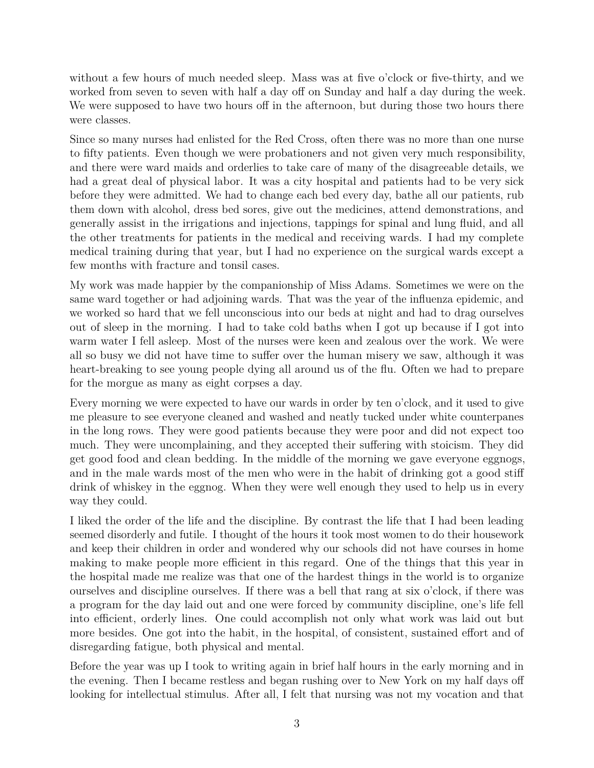without a few hours of much needed sleep. Mass was at five o'clock or five-thirty, and we worked from seven to seven with half a day off on Sunday and half a day during the week. We were supposed to have two hours off in the afternoon, but during those two hours there were classes.

Since so many nurses had enlisted for the Red Cross, often there was no more than one nurse to fifty patients. Even though we were probationers and not given very much responsibility, and there were ward maids and orderlies to take care of many of the disagreeable details, we had a great deal of physical labor. It was a city hospital and patients had to be very sick before they were admitted. We had to change each bed every day, bathe all our patients, rub them down with alcohol, dress bed sores, give out the medicines, attend demonstrations, and generally assist in the irrigations and injections, tappings for spinal and lung fluid, and all the other treatments for patients in the medical and receiving wards. I had my complete medical training during that year, but I had no experience on the surgical wards except a few months with fracture and tonsil cases.

My work was made happier by the companionship of Miss Adams. Sometimes we were on the same ward together or had adjoining wards. That was the year of the influenza epidemic, and we worked so hard that we fell unconscious into our beds at night and had to drag ourselves out of sleep in the morning. I had to take cold baths when I got up because if I got into warm water I fell asleep. Most of the nurses were keen and zealous over the work. We were all so busy we did not have time to suffer over the human misery we saw, although it was heart-breaking to see young people dying all around us of the flu. Often we had to prepare for the morgue as many as eight corpses a day.

Every morning we were expected to have our wards in order by ten o'clock, and it used to give me pleasure to see everyone cleaned and washed and neatly tucked under white counterpanes in the long rows. They were good patients because they were poor and did not expect too much. They were uncomplaining, and they accepted their suffering with stoicism. They did get good food and clean bedding. In the middle of the morning we gave everyone eggnogs, and in the male wards most of the men who were in the habit of drinking got a good stiff drink of whiskey in the eggnog. When they were well enough they used to help us in every way they could.

I liked the order of the life and the discipline. By contrast the life that I had been leading seemed disorderly and futile. I thought of the hours it took most women to do their housework and keep their children in order and wondered why our schools did not have courses in home making to make people more efficient in this regard. One of the things that this year in the hospital made me realize was that one of the hardest things in the world is to organize ourselves and discipline ourselves. If there was a bell that rang at six o'clock, if there was a program for the day laid out and one were forced by community discipline, one's life fell into efficient, orderly lines. One could accomplish not only what work was laid out but more besides. One got into the habit, in the hospital, of consistent, sustained effort and of disregarding fatigue, both physical and mental.

Before the year was up I took to writing again in brief half hours in the early morning and in the evening. Then I became restless and began rushing over to New York on my half days off looking for intellectual stimulus. After all, I felt that nursing was not my vocation and that